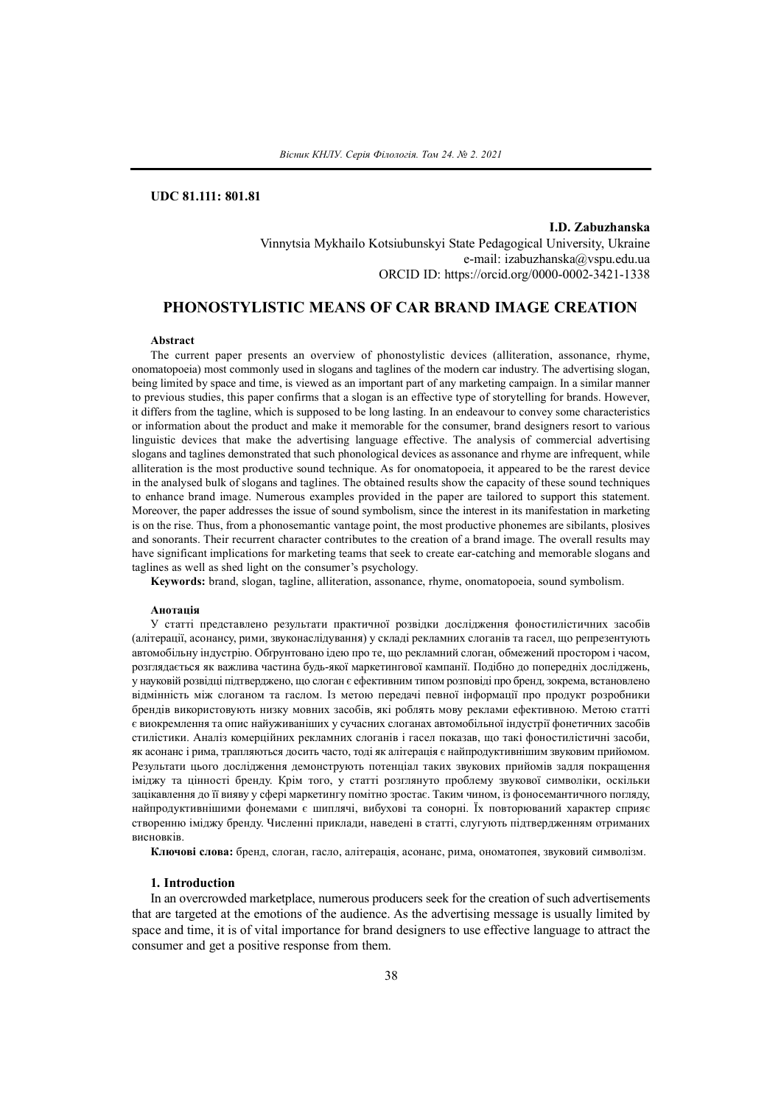# **UDC 81.111: 801.81**

**I.D. Zabuzhanska** Vinnytsia Mykhailo Kotsiubunskyi State Pedagogical University, Ukraine e-mail: izabuzhanska@vspu.edu.ua ORCID ID: https://orcid.org/0000-0002-3421-1338

## **PHONOSTYLISTIC MEANS OF CAR BRAND IMAGE CREATION**

#### **Abstract**

The current paper presents an overview of phonostylistic devices (alliteration, assonance, rhyme, onomatopoeia) most commonly used in slogans and taglines of the modern car industry. The advertising slogan, being limited by space and time, is viewed as an important part of any marketing campaign. In a similar manner to previous studies, this paper confirms that a slogan is an effective type of storytelling for brands. However, it differs from the tagline, which is supposed to be long lasting. In an endeavour to convey some characteristics or information about the product and make it memorable for the consumer, brand designers resort to various linguistic devices that make the advertising language effective. The analysis of commercial advertising slogans and taglines demonstrated that such phonological devices as assonance and rhyme are infrequent, while alliteration is the most productive sound technique. As for onomatopoeia, it appeared to be the rarest device in the analysed bulk of slogans and taglines. The obtained results show the capacity of these sound techniques to enhance brand image. Numerous examples provided in the paper are tailored to support this statement. Moreover, the paper addresses the issue of sound symbolism, since the interest in its manifestation in marketing is on the rise. Thus, from a phonosemantic vantage point, the most productive phonemes are sibilants, plosives and sonorants. Their recurrent character contributes to the creation of a brand image. The overall results may have significant implications for marketing teams that seek to create ear-catching and memorable slogans and taglines as well as shed light on the consumer's psychology.

**Keywords:** brand, slogan, tagline, alliteration, assonance, rhyme, onomatopoeia, sound symbolism.

#### **Анотація**

У статті представлено результати практичної розвідки дослідження фоностилістичних засобів (алітерації, асонансу, рими, звуконаслідування) у складі рекламних слоганів та гасел, що репрезентують автомобільну індустрію. Обґрунтовано ідею про те, що рекламний слоган, обмежений простором і часом, розглядається як важлива частина будь-якої маркетингової кампанії. Подібно до попередніх досліджень, у науковій розвідці підтверджено, що слоган є ефективним типом розповіді про бренд,зокрема, встановлено відмінність між слоганом та гаслом. Із метою передачі певної інформації про продукт розробники брендів використовують низку мовних засобів, які роблять мову реклами ефективною. Метою статті є виокремлення та опис найуживаніших у сучасних слоганах автомобільної індустрії фонетичних засобів стилістики. Аналіз комерційних рекламних слоганів і гасел показав, що такі фоностилістичні засоби, як асонанс і рима, трапляються досить часто, тоді як алітерація є найпродуктивнішим звуковим прийомом. Результати цього дослідження демонструють потенціал таких звукових прийомів задля покращення іміджу та цінності бренду. Крім того, у статті розглянуто проблему звукової символіки, оскільки зацікавлення до її вияву у сфері маркетингу помітно зростає. Таким чином, із фоносемантичного погляду, найпродуктивнішими фонемами є шиплячі, вибухові та сонорні. Їх повторюваний характер сприяє створенню іміджу бренду. Численні приклади, наведені в статті, слугують підтвердженням отриманих висновків.

**Ключові слова:** бренд, слоган, гасло, алітерація, асонанс, рима, ономатопея, звуковий символізм.

### **1. Introduction**

In an overcrowded marketplace, numerous producers seek for the creation of such advertisements that are targeted at the emotions of the audience. As the advertising message is usually limited by space and time, it is of vital importance for brand designers to use effective language to attract the consumer and get a positive response from them.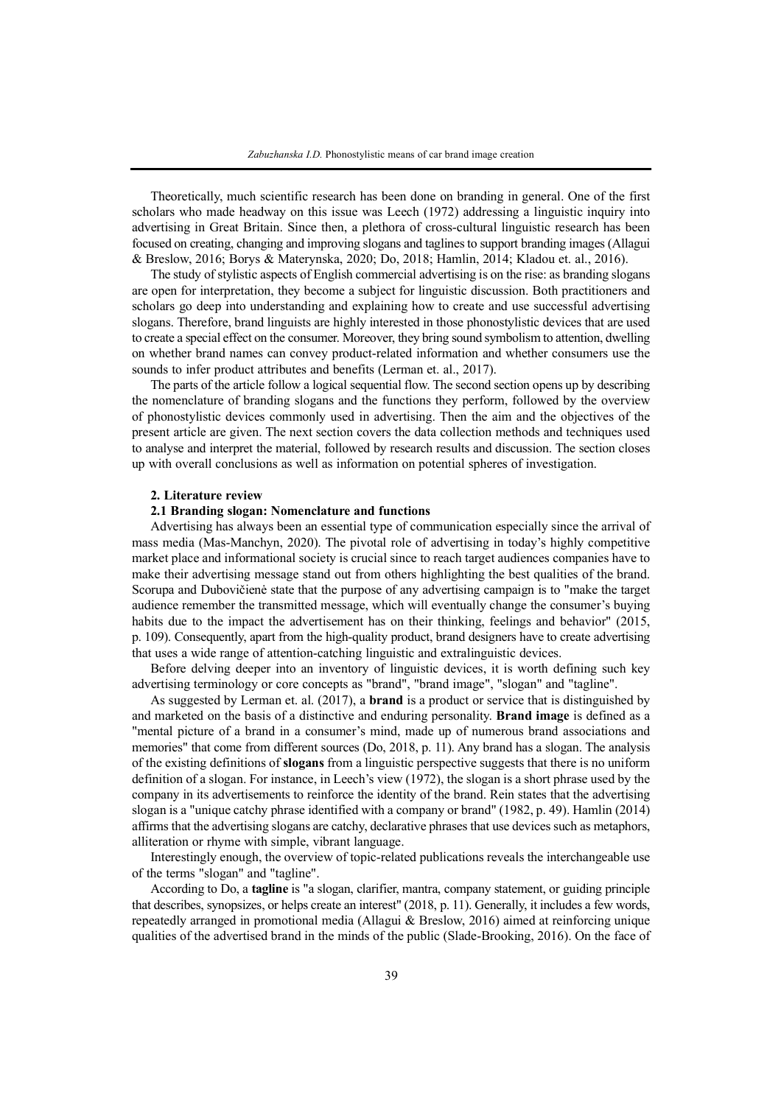Theoretically, much scientific research has been done on branding in general. One of the first scholars who made headway on this issue was Leech (1972) addressing a linguistic inquiry into advertising in Great Britain. Since then, a plethora of cross-cultural linguistic research has been focused on creating, changing and improving slogans and taglinesto support branding images (Allagui & Breslow, 2016; Borys & Materynska, 2020; Do, 2018; Hamlin, 2014; Kladou et. al., 2016).

The study of stylistic aspects of English commercial advertising is on the rise: as branding slogans are open for interpretation, they becоme a subjеct for linguistic discussion. Both practitioners and scholars go deep into understanding and explaining how to create and use successful advertising slogans. Therefore, brand linguists are highly interested in those phonostylistic devices that are used to create a special effect on the consumer. Moreover, they bring sound symbolism to attention, dwelling on whether brand names can convey product-related information and whether consumers use the sounds to infer product attributes and benefits (Lerman et. al., 2017).

The parts of the article follow a logical sequential flow. The second section оpens up by describing the nomenclature of branding slogans and the functions they perform, followed by the overview of phonostylistic devices commonly used in advertising. Then the aim and the objectives of the present article are given. The next section covers the data collection methods and techniques used to analyse and interpret the material, followed by research results and discussion. The section closes up with overall conclusions as well as information on potential spheres of investigation.

#### **2. Literature review**

## **2.1 Branding slogan: Nomenclature and functions**

Advertising has always been an essential type of communication especially since the arrival of mass media (Mas-Manchуn, 2020). The pivotal role of advertising in today's highly competitive market place and informational society is crucial since to reach target audiences companies have to make their advertising message stand out from others highlighting the best qualities of the brand. Scorupa and Dubovičienė state that the purpose of any advertising campaign is to "make the target audience remember the transmitted message, which will eventually change the consumer's buying habits due to the impact the advertisement has on their thinking, feelings and behavior" (2015, p. 109). Consequently, apart from the high-quality product, brand designers have to create advertising that uses a wide range of attention-catching linguistic and extralinguistic devices.

Before delving deeper into an inventory of linguistic devices, it is worth defining such key advertising terminology or core concepts as "brand", "brand image", "slogan" and "tagline".

As suggested by Lerman et. al. (2017), a **brand** is a product or service that is distinguished by and marketed on the basis of a distinctive and enduring personality. **Brand image** is defined as a "mental picture of a brand in a consumer's mind, made up of numerous brand associations and memories" that come from different sources (Do, 2018, p. 11). Any brand has a slogan. The analysis of the existing definitions of **slogans** from a linguistic perspective suggests that there is no uniform definition of a slogan. For instance, in Leech's view (1972), the slogan is a short phrase used by the company in its advertisements to reinforce the identity of the brand. Rein states that the advertising slogan is a "unique catchy phrase identified with a company or brand" (1982, p. 49). Hamlin (2014) affirms that the advertising slogans are catchy, declarative phrases that use devices such as metaphors, alliteration or rhyme with simple, vibrant language.

Interestingly enough, the overview of topic-related publications reveals the interchangeable use of the terms "slogan" and "tagline".

According to Do, a **tagline** is "a slogan, clarifier, mantra, company statement, or guiding principle that describes, synopsizes, or helps create an interest" (2018, p. 11). Generally, it includes a few words, repeatedly arranged in promotional media (Allagui & Breslow, 2016) aimed at reinforcing unique qualities of the advertised brand in thе minds of the рublic (Slade-Brooking, 2016). On the face of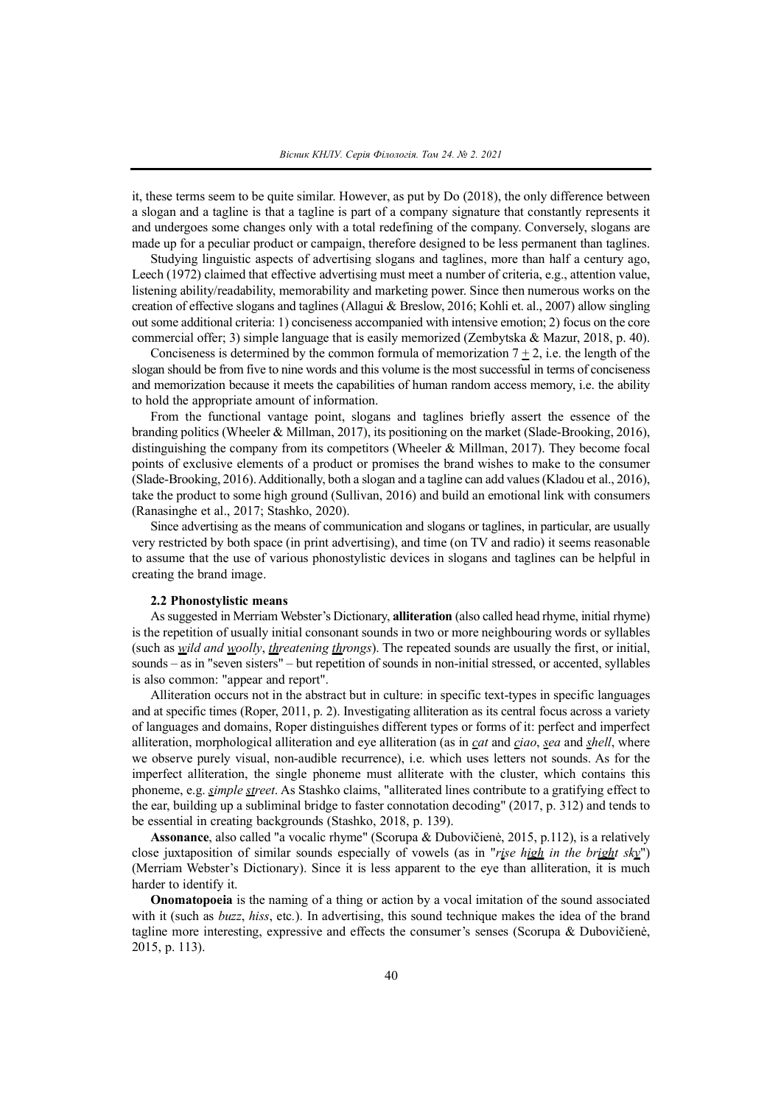it, these terms seem to be quite similar. However, as put by Do (2018), the only difference between a slogan and a tagline is that a tagline is part of a company signature that constantly represents it and undergoes some changes only with a total redefining of the company. Conversely, slogans are made up for a peculiar product or campaign, therefore designed to be less permanent than taglines.

Studying linguistic aspects of advertising slogans and taglines, more than half a century ago, Leech (1972) claimed that effective advertising must meet a number of criteria, e.g., attention value, listening ability/readability, memorability and marketing power. Since then numerous works on the creation of effective slogans and taglines (Allagui & Breslow, 2016; Kohli et. al., 2007) allow singling out some additional criteria: 1) conciseness accompanied with intensive emotion; 2) focus on the core commercial offer; 3) simple language that is easily memorized (Zembytska & Mazur, 2018, p. 40).

Conciseness is determined by the common formula of memorization  $7 \pm 2$ , i.e. the length of the slogan should be from five to nine words and this volume is the most successful in terms of conciseness and memorization because it meets the capabilities of human random access memory, i.e. the ability to hold the appropriate amount of information.

From the functional vantage point, slogans and taglines briefly assert the essence of the branding politics (Wheeler & Millman, 2017), its positioning on the market (Slade-Brooking, 2016), distinguishing the company from its competitors (Wheeler & Millman, 2017). They become focal points of exclusive elements of a product or promises the brаnd wishes to mаke to the cоnsumer (Slade-Brooking, 2016). Additionally, both a slogan and a tagline can add values (Kladou et al., 2016), take the product to sоme hіgh grоund (Sullivan, 2016) and build аn emоtionаl link with consumеrs (Ranasinghe et al., 2017; Stashko, 2020).

Since advertising as the means of communication and slogans or taglines, in particular, are usually very restricted by both space (in print advertising), and time (on TV and radio) it seems reasonable to assume that the use of various phonostylistic devices in slogans and taglines can be helpful in creating the brand image.

## **2.2 Phonostylistic means**

As suggested in Merriam Webster's Dictionary, **alliteration** (also called head rhyme, initial rhyme) is the repetition of usually initial consonant sounds in two or more neighbouring words or syllables (such as *wild and woolly*, *threatening throngs*). The repeated sounds are usually the first, or initial, sounds – as in "seven sisters" – but repetition of sounds in non-initial stressed, or accented, syllables is also common: "appear and report".

Alliteration occurs not in the abstract but in culture: in specific text-types in specific languages and at specific times (Roper, 2011, p. 2). Investigating alliteration as its central focus across a variety of languages and domains, Roper distinguishes different types or forms of it: perfect and imperfect alliteration, morphological alliteration and eye alliteration (as in *cat* and *ciao*, *sea* and *shell*, where we observe purely visual, non-audible recurrence), i.e. which uses letters not sounds. As for the imperfect alliteration, the single phoneme must alliterate with the cluster, which contains this phoneme, e.g. *simple street*. As Stashko claims, "alliterated lines contribute to a gratifying effect to the ear, building up a subliminal bridge to faster connotation decoding" (2017, p. 312) and tends to be essential in creating backgrounds (Stashko, 2018, p. 139).

**Assonance**, also called "a vocalic rhyme" (Scorupa & Dubovičienė, 2015, p.112), is a relatively close juxtaposition of similar sounds especially of vowels (as in "*rise high in the bright sky*") (Merriam Webster's Dictionary). Since it is less apparent to the eye than alliteration, it is much harder to identify it.

**Onomatopoeia** is the naming of a thing or action by a vocal imitation of the sound associated with it (such as *buzz*, *hiss*, etc*.*). In advertising, this sound technique makes the idea of the brand tagline more interesting, expressive and effects the consumer's senses (Scorupa & Dubovičienė, 2015, p. 113).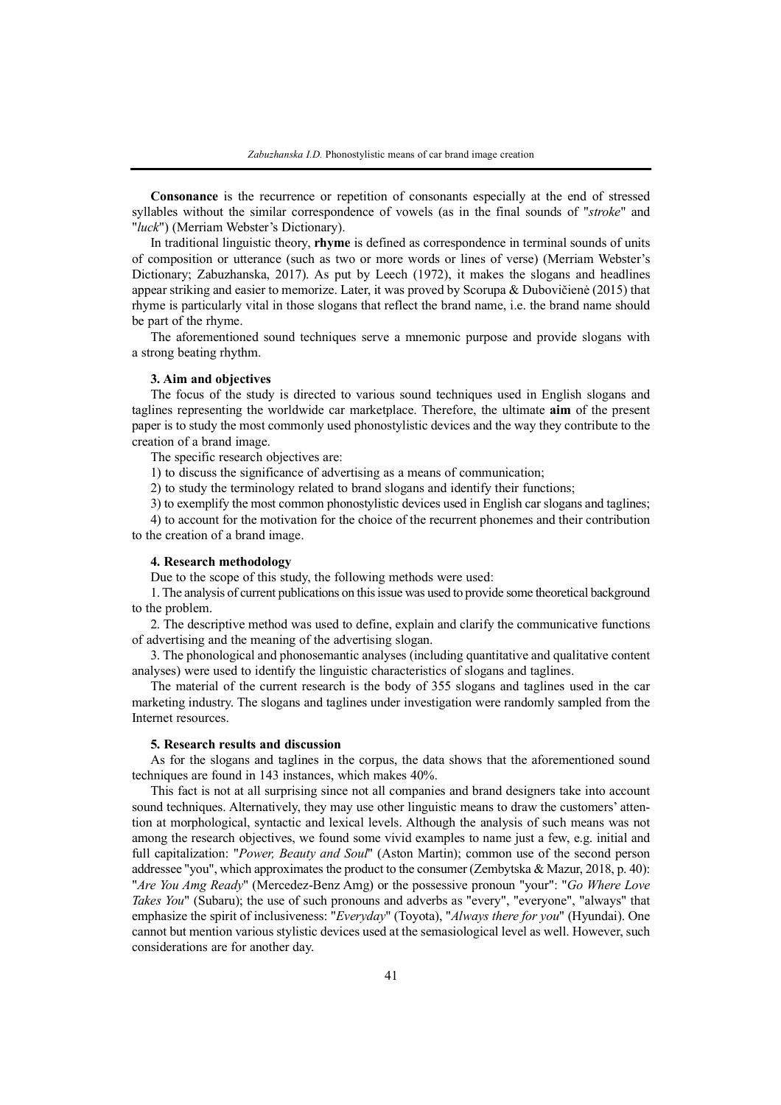**Consonance** is the recurrence or repetition of consonants especially at the end of stressed syllables without the similar correspondence of vowels (as in the final sounds of "*stroke*" and "*luck*") (Merriam Webster's Dictionary).

In traditional linguistic theory, **rhyme** is defined as correspondence in terminal sounds of units of composition or utterance (such as two or more words or lines of verse) (Merriam Webster's Dictionary; Zabuzhanska, 2017). As put by Leech (1972), it makes the slogans and headlines appear striking and easier to memorize. Later, it was proved by Scorupa & Dubovičienė (2015) that rhyme is particularly vital in those slogans that reflect the brand name, i.e. the brand name should be part of the rhyme.

The aforementioned sound techniques serve a mnemonic purpose and provide slogans with a strong beating rhythm.

### **3. Aim and objectives**

The focus of the study is directed to various sound techniques used in English slogans and taglines representing the worldwide car marketplace. Therefore, the ultimate **aim** of the present paper is to study the most commonly used phonostylistic devices and the way they contribute to the creation of a brand image.

The specific research objectives are:

1) to discuss the significance of advertising as a means of communication;

2) to study the terminology related to brand slogans and identify their functions;

3) to exemplify the most common phonostylistic devices used in English car slogans and taglines;

4) to account for the motivation for the choice of the recurrent phonemes and their contribution to the creation of a brand image.

#### **4. Research methodology**

Due to the scope of this study, the following methods were used:

1. The analysis of current publications on thisissue was used to provide some theoretical background to the problem.

2. The descriptive method was used to define, explain and clarify the communicative functions of advertising and the meaning of the advertising slogan.

3. The phonological and phonosemantic analyses (including quantitative and qualitative content analyses) were used to identify the linguistic characteristics of slogans and taglines.

The material of the current research is the body of 355 slogans and taglines used in the car marketing industry. The slogans and taglines under investigation were randomly sampled from the Internet resources.

## **5. Research results and discussion**

As for the slogans and taglines in the corpus, the data shows that the aforementioned sound techniques are found in 143 instances, which makes 40%.

This fact is not at all surprising since not all companies and brand designers take into account sound techniques. Alternatively, they may use other linguistic means to draw the customers' attention at morphological, syntactic and lexical levels. Although the analysis of such means was not among the research objectives, we found some vivid examples to name just a few, e.g. initial and full capitalization: "*Power, Beauty and Soul*" (Aston Martin); common use of the second person addressee "you", which approximates the product to the consumer (Zembytska & Mazur, 2018, p. 40): "*Are You Amg Ready*" (Mercedez-Benz Amg) or the possessive pronoun "your": "*Go Where Love Takes You*" (Subaru); the use of such pronouns and adverbs as "every", "everyone", "always" that emphasize the spirit of inclusiveness: "*Everyday*" (Toyota), "*Always there for you*" (Hyundai). One cannot but mention various stylistic devices used at the semasiological level as well. However, such considerations are for another day.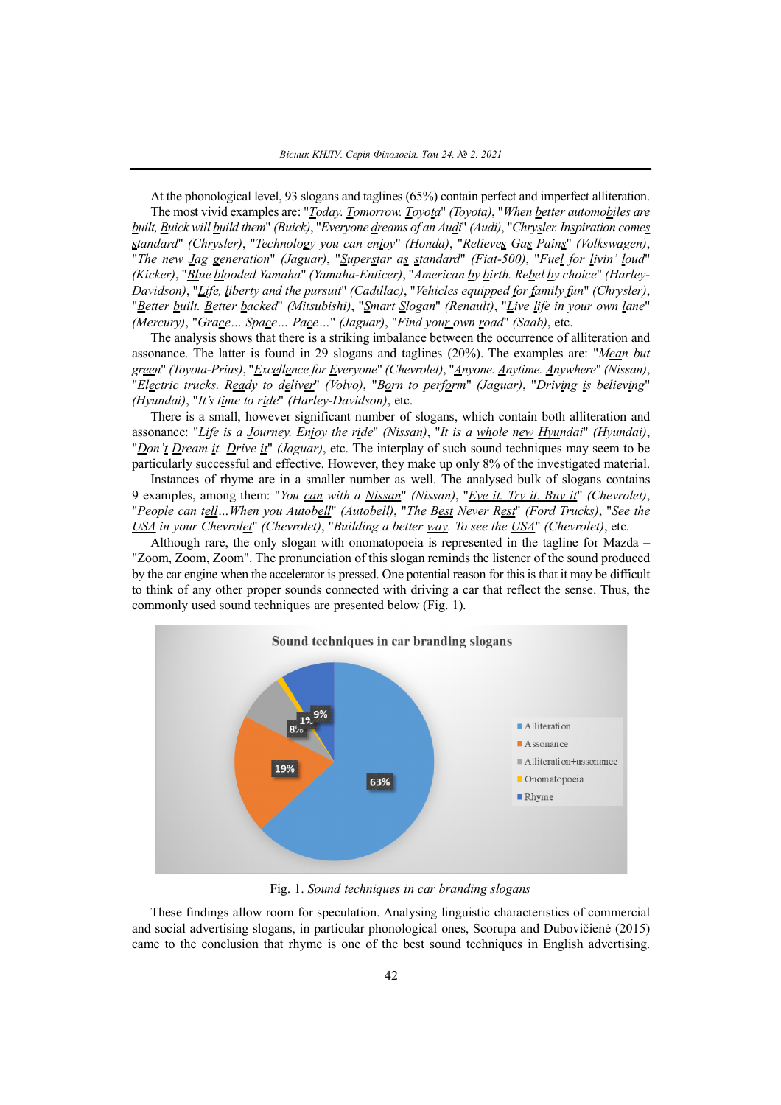At the phonological level, 93 slogans and taglines (65%) contain perfect and imperfect alliteration. The most vivid examples are: "*Today. Tomorrow. Toyota*" *(Toyota)*, "*When better automobiles are built, Buick will build them*" *(Buick)*, "*Everyone dreams of an Audi*" *(Audi)*, "*Chrysler. Inspiration comes standard*" *(Chrysler)*, "*Technology you can enjoy*" *(Honda)*, "*Relieves Gas Pains*" *(Volkswagen)*, "*The new Jag generation*" *(Jaguar)*, "*Superstar as standard*" *(Fiat-500)*, "*Fuel for livin' loud*" *(Kicker)*, "*Blue blooded Yamaha*" *(Yamaha-Enticer)*, "*American by birth. Rebel by choice*" *(Harley-Davidson)*, "*Life, liberty and the pursuit*" *(Cadillac)*, "*Vehicles equipped for family fun*" *(Chrysler)*, "*Better built. Better backed*" *(Mitsubishi)*, "*Smart Slogan*" *(Renault)*, "*Live life in your own lane*" *(Mercury)*, "*Grace… Space… Pace…*" *(Jaguar)*, "*Find your own road*" *(Saab)*, etc.

The analysis shows that there is a striking imbalance between the occurrence of alliteration and assonance. The latter is found in 29 slogans and taglines (20%). The examples are: "*Mean but green*" *(Toyota-Prius)*, "*Excellence for Everyone*" *(Chevrolet)*, "*Anyone. Anytime. Anywhere*" *(Nissan)*, "*Electric trucks. Ready to deliver*" *(Volvo)*, "*Born to perform*" *(Jaguar)*, "*Driving is believing*" *(Hyundai)*, "*It's time to ride*" *(Harley-Davidson)*, etc.

There is a small, however significant number of slogans, which contain both alliteration and assonance: "*Life is a Journey. Enjoy the ride*" *(Nissan)*, "*It is a whole new Hyundai*" *(Hyundai)*, "*Don't Dream it. Drive it*" *(Jaguar)*, etc. The interplay of such sound techniques may seem to be particularly successful and effective. However, they make up only 8% of the investigated material.

Instances of rhyme are in a smaller number as well. The analysed bulk of slogans contains 9 examples, among them: "*You can with a Nissan*" *(Nissan)*, "*Eye it. Try it. Buy it*" *(Chevrolet)*, "*People can tell…When you Autobell*" *(Autobell)*, "*The Best Never Rest*" *(Ford Trucks)*, "*See the USA in your Chevrolet*" *(Chevrolet)*, "*Building a better way. To see the USA*" *(Chevrolet)*, etc.

Although rare, the only slogan with onomatopoeia is represented in the tagline for Mazda – "Zoom, Zoom, Zoom". The pronunciation of this slogan reminds the listener of the sound produced by the car engine when the accelerator is pressed. One potential reason for this is that it may be difficult to think of any other proper sounds connected with driving a car that reflect the sense. Thus, the commonly used sound techniques are presented below (Fig. 1).



Fig. 1. *Sound techniques in car branding slogans*

These findings allow room for speculation. Analysing linguistic characteristics of commercial and social advertising slogans, in particular phonological ones, Scorupa and Dubovičienė (2015) came to the conclusion that rhyme is one of the best sound techniques in English advertising.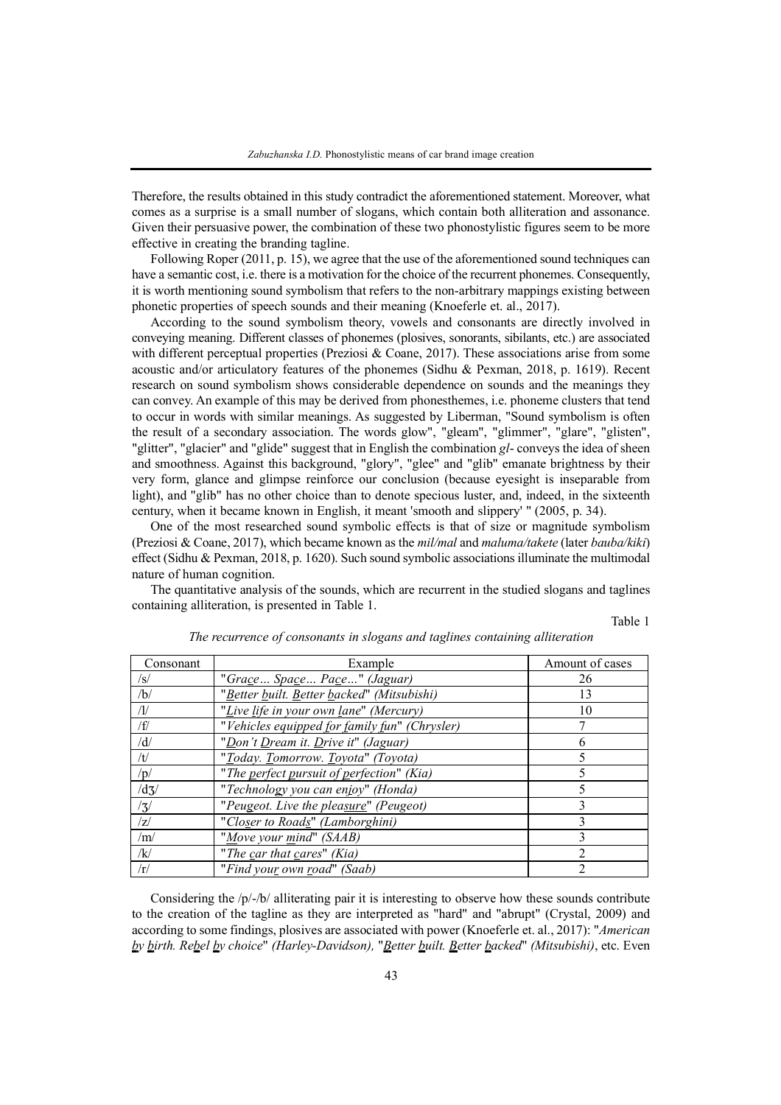Therefore, the results obtained in this study contradict the aforementioned statement. Moreover, what comes as a surprise is a small number of slogans, which contain both alliteration and assonance. Given their persuasive power, the combination of these two phonostylistic figures seem to be more effective in creating the branding tagline.

Following Roper (2011, p. 15), we agree that the use of the aforementioned sound techniques can have a semantic cost, i.e. there is a motivation for the choice of the recurrent phonemes. Consequently, it is worth mentioning sound symbolism that refers to the non-arbitrary mappings existing between phonetic properties of speech sounds and their meaning (Knoeferle et. al., 2017).

According to the sound symbolism theory, vowels and consonants are directly involved in conveying meaning. Different classes of phonemes (plosives, sonorants, sibilants, etc.) are associated with different perceptual properties (Preziosi & Coane, 2017). These associations arise from some acoustic and/or articulatory features of the phonemes (Sidhu & Pexman, 2018, p. 1619). Recent research on sound symbolism shows considerable dependence on sounds and the meanings they can convey. An example of this may be derived from phonesthemes, i.e. phoneme clusters that tend to occur in words with similar meanings. As suggested by Liberman, "Sound symbolism is often the result of a secondary association. The words glow", "gleam", "glimmer", "glare", "glisten", "glitter", "glacier" and "glide" suggest that in English the combination *gl*- conveys the idea of sheen and smoothness. Against this background, "glory", "glee" and "glib" emanate brightness by their very form, glance and glimpse reinforce our conclusion (because eyesight is inseparable from light), and "glib" has no other choice than to denote specious luster, and, indeed, in the sixteenth century, when it became known in English, it meant 'smooth and slippery' " (2005, p. 34).

One of the most researched sound symbolic effects is that of size or magnitude symbolism (Preziosi & Coane, 2017), which became known as the *mil/mal* and *maluma/takete* (later *bauba/kiki*) effect (Sidhu & Pexman, 2018, p. 1620). Such sound symbolic associations illuminate the multimodal nature of human cognition.

The quantitative analysis of the sounds, which are recurrent in the studied slogans and taglines containing alliteration, is presented in Table 1.

Table 1

| Consonant   | Example                                       | Amount of cases |
|-------------|-----------------------------------------------|-----------------|
| /s/         | "Grace Space Pace" (Jaguar)                   | 26              |
| /b/         | "Better built. Better backed" (Mitsubishi)    | 13              |
| /1/         | "Live life in your own lane" (Mercury)        | 10              |
| /f/         | "Vehicles equipped for family fun" (Chrysler) |                 |
| /d/         | "Don't Dream it. Drive it" (Jaguar)           |                 |
| /t/         | "Today. Tomorrow. Toyota" (Toyota)            |                 |
| /p/         | "The perfect pursuit of perfection" (Kia)     |                 |
| $\sqrt{d}$  | "Technology you can enjoy" (Honda)            |                 |
| $\sqrt{3}/$ | "Peugeot. Live the pleasure" (Peugeot)        |                 |
| /7/         | "Closer to Roads" (Lamborghini)               |                 |
| /m/         | "Move your mind" (SAAB)                       |                 |
| /k/         | "The car that cares" (Kia)                    |                 |
| /r/         | "Find your own road" (Saab)                   |                 |

*The recurrence of consonants in slogans and taglines containing alliteration*

Considering the /p/-/b/ alliterating pair it is interesting to observe how these sounds contribute to the creation of the tagline as they are interpreted as "hard" and "abrupt" (Crystal, 2009) and according to some findings, plosives are associated with power (Knoeferle et. al., 2017): "*American by birth. Rebel by choice*" *(Harley-Davidson),* "*Better built. Better backed*" *(Mitsubishi)*, etc. Even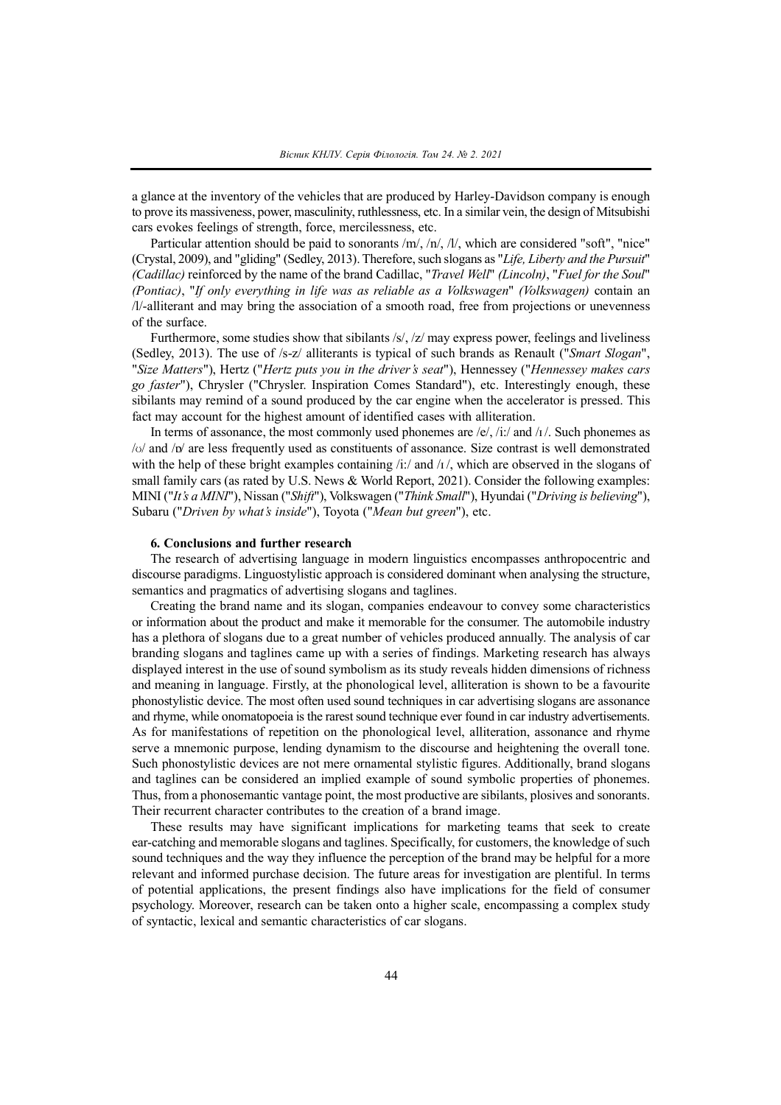a glance at the inventory of the vehicles that are produced by Harley-Davidson company is enough to prove its massiveness, power, masculinity, ruthlessness, etc. In a similar vein, the design of Mitsubishi cars evokes feelings of strength, force, mercilessness, etc.

Particular attention should be paid to sonorants /m/, /n/, /l/, which are considered "soft", "nice" (Crystal, 2009), and "gliding" (Sedley, 2013). Therefore,such slogans as "*Life, Liberty and the Pursuit*" *(Cadillac)* reinforced by the name of the brand Cadillac, "*Travel Well*" *(Lincoln)*, "*Fuel for the Soul*" *(Pontiac)*, "*If only everything in life was as reliable as a Volkswagen*" *(Volkswagen)* contain an /l/-alliterant and may bring the association of a smooth road, free from projections or unevenness of the surface.

Furthermore, some studies show that sibilants /s/, /z/ may express power, feelings and liveliness (Sedley, 2013). The use of /s-z/ alliterants is typical of such brands as Renault ("*Smart Slogan*", "*Size Matters*"), Hertz ("*Hertz puts you in the driver's seat*"), Hennessey ("*Hennessey makes cars go faster*"), Chrysler ("Chrysler. Inspiration Comes Standard"), etc. Interestingly enough, these sibilants may remind of a sound produced by the car engine when the accelerator is pressed. This fact may account for the highest amount of identified cases with alliteration.

In terms of assonance, the most commonly used phonemes are  $/e/$ , /i:/ and /i/. Such phonemes as  $/o$  and  $/po$  are less frequently used as constituents of assonance. Size contrast is well demonstrated with the help of these bright examples containing  $\pi/1$  and  $\pi/1$ , which are observed in the slogans of small family cars (as rated by U.S. News & World Report, 2021). Consider the following examples: MINI ("*It's a MINI*"), Nissan ("*Shift*"), Volkswagen ("*Think Small*"), Hyundai ("*Driving is believing*"), Subaru ("*Driven by what's inside*"), Toyota ("*Mean but green*"), etc.

# **6. Conclusions and further research**

The research of advertising language in modern linguistics encompasses anthropocentric and discourse paradigms. Linguostylistic approach is considered dominant when analysing the structure, semantics and pragmatics of advertising slogans and taglines.

Creating the brand name and its slogan, companies endeavour to convey some characteristics or information about the product and make it memorable for the consumer. The automobile industry has a plethora of slogans due to a great number of vehicles produced annually. The analysis of car branding slogans and taglines came up with a series of findings. Marketing research has always displayed interest in the use of sound symbolism as its study reveals hidden dimensions of richness and meaning in language. Firstly, at the phonological level, alliteration is shown to be a favourite phonostylistic device. The most often used sound techniques in car advertising slogans are assonance and rhyme, while onomatopoeia is the rarest sound technique ever found in car industry advertisements. As for manifestations of repetition on the phonological level, alliteration, assonance and rhyme serve a mnemonic purpose, lending dynamism to the discourse and heightening the overall tone. Such phonostylistic devices are not mere ornamental stylistic figures. Additionally, brand slogans and taglines can be considered an implied example of sound symbolic properties of phonemes. Thus, from a phonosemantic vantage point, the most productive are sibilants, plosives and sonorants. Their recurrent character contributes to the creation of a brand image.

These results may have significant implications for marketing teams that seek to create ear-catching and memorable slogans and taglines. Specifically, for customers, the knowledge of such sound techniques and the way they influence the perception of the brand may be helpful for a more relevant and informed purchase decision. The future areas for investigation are plentiful. In terms of potential applications, the present findings also have implications for the field of consumer psychology. Moreover, research can be taken onto a higher scale, encompassing a complex study of syntactic, lexical and semantic characteristics of car slogans.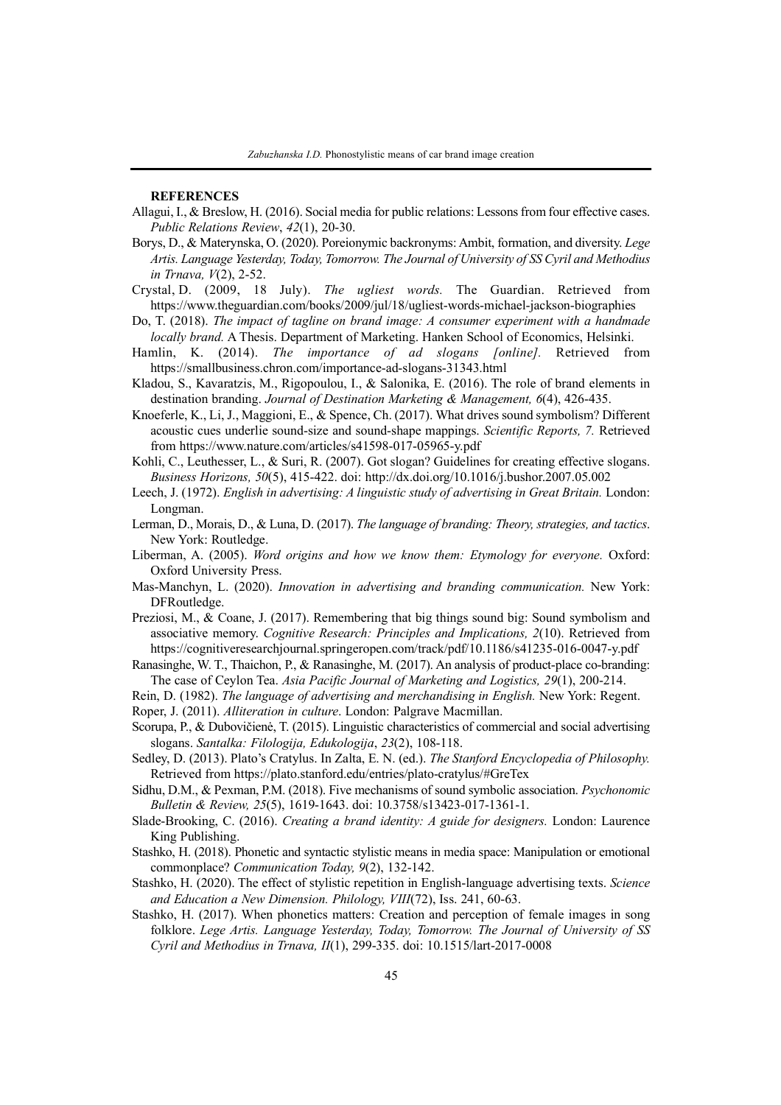## **REFERENCES**

- Allagui, I., & Breslow, H. (2016). Social media for public relations: Lessonsfrom four effective cases. *Public Relations Review*, *42*(1), 20-30.
- Borys, D., & Materynska, O. (2020). Poreionymic backronyms: Ambit, formation, and diversity. *Lege Artis. Language Yesterday, Today, Tomorrow. The Journal of University of SS Cyril and Methodius in Trnava, V*(2), 2-52.
- Crystal, D. (2009, 18 July). *The ugliest words.* The Guardian. Retrieved from https://www.theguardian.com/books/2009/jul/18/ugliest-words-michael-jackson-biographies
- Do, T. (2018). *The impact of tagline on brand image: A consumer experiment with a handmade locally brand.* A Thesis. Department of Marketing. Hanken School of Economics, Helsinki.
- Hamlin, K. (2014). *The importance of ad slogans [online].* Retrieved from https://smallbusiness.chron.com/importance-ad-slogans-31343.html
- Kladou, S., Kavaratzis, M., Rigopoulou, I., & Salonika, E. (2016). The role of brand elements in destination branding. *Journal of Destination Marketing & Management, 6*(4), 426-435.
- Knoeferle, K., Li, J., Maggioni, E., & Spence, Ch. (2017). What drives sound symbolism? Different acoustic cues underlie sound-size and sound-shape mappings. *Scientific Reports, 7.* Retrieved from https://www.nature.com/articles/s41598-017-05965-y.pdf
- Kohli, C., Leuthesser, L., & Suri, R. (2007). Got slogan? Guidelines for creating effective slogans. *Business Horizons, 50*(5), 415-422. doi: http://dx.doi.org/10.1016/j.bushor.2007.05.002
- Leech, J. (1972). *English in advertising: A linguistic study of advertising in Great Britain.* London: Longman.
- Lerman, D., Morais, D., & Luna, D. (2017). *The language of branding: Theory, strategies, and tactics*. New York: Routledge.
- Liberman, A. (2005). *Word origins and how we know them: Etymology for everyone.* Oxford: Oxford University Press.
- Mas-Manchуn, L. (2020). *Innovation in advertising and branding communication.* New York: DFRoutledge.
- Preziosi, M., & Coane, J. (2017). Remembering that big things sound big: Sound symbolism and associative memory. *Cognitive Research: Principles and Implications, 2*(10). Retrieved from https://cognitiveresearchjournal.springeropen.com/track/pdf/10.1186/s41235-016-0047-y.pdf
- Ranasinghe, W. T., Thaichon, P., & Ranasinghe, M. (2017). An analysis of product-place co-branding: The case of Ceylon Tea. *Asia Pacific Journal of Marketing and Logistics, 29*(1), 200-214.
- Rein, D. (1982). *The language of advertising and merchandising in English.* New York: Regent.
- Roper, J. (2011). *Alliteration in culture*. London: Palgrave Macmillan.
- Scorupa, P., & Dubovičienė, T. (2015). Linguistic characteristics of commercial and social advertising slogans. *Santalka: Filologija, Edukologija*, *23*(2), 108-118.
- Sedley, D. (2013). Plato's Cratylus. In Zalta, E. N. (ed.). *The Stanford Encyclopedia of Philosophy.* Retrieved from https://plato.stanford.edu/entries/plato-cratylus/#GreTex
- Sidhu, D.M., & Pexman, P.M. (2018). Five mechanisms of sound symbolic association. *Psychonomic Bulletin & Review, 25*(5), 1619-1643. doi: 10.3758/s13423-017-1361-1.
- Slade-Brooking, C. (2016). *Creating a brand identity: A guide for designers.* London: Laurence King Publishing.
- Stashko, H. (2018). Phonetic and syntactic stylistic means in media space: Manipulation or emotional commonplace? *Communication Today, 9*(2), 132-142.
- Stashko, H. (2020). The effect of stylistic repetition in English-language advertising texts. *Science and Education a New Dimension. Philology, VIII*(72), Iss. 241, 60-63.
- Stashko, H. (2017). When phonetics matters: Creation and perception of female images in song folklore. *Lege Artis. Language Yesterday, Today, Tomorrow. The Journal of University of SS Cyril and Methodius in Trnava, II*(1), 299-335. doi: 10.1515/lart-2017-0008